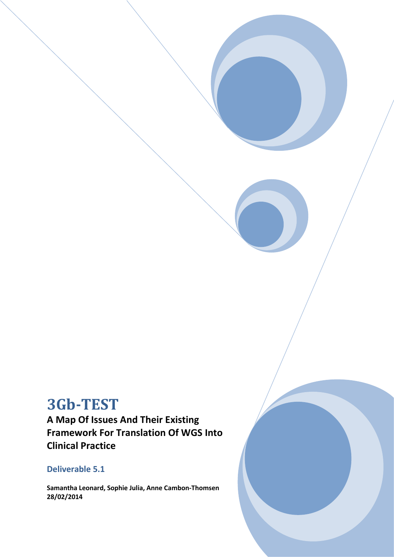# **3Gb-TEST**

**A Map Of Issues And Their Existing Framework For Translation Of WGS Into Clinical Practice**

## **Deliverable 5.1**

**Samantha Leonard, Sophie Julia, Anne Cambon-Thomsen 28/02/2014**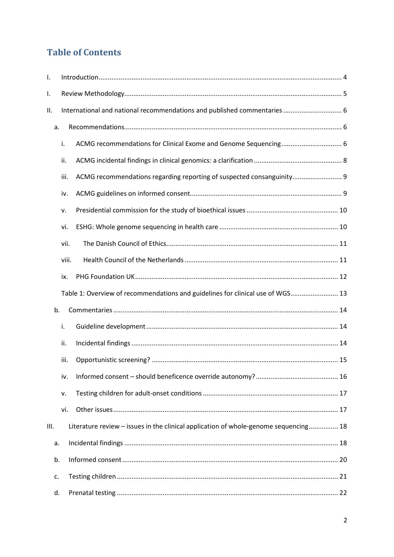## **Table of Contents**

| I.   |      |                                                                                      |  |  |  |  |
|------|------|--------------------------------------------------------------------------------------|--|--|--|--|
| I.   |      |                                                                                      |  |  |  |  |
| ΙΙ.  |      | International and national recommendations and published commentaries  6             |  |  |  |  |
|      | a.   |                                                                                      |  |  |  |  |
|      | i.   |                                                                                      |  |  |  |  |
|      | ii.  |                                                                                      |  |  |  |  |
|      | iii. | ACMG recommendations regarding reporting of suspected consanguinity 9                |  |  |  |  |
|      | iv.  |                                                                                      |  |  |  |  |
|      | v.   |                                                                                      |  |  |  |  |
|      | vi.  |                                                                                      |  |  |  |  |
|      | vii. |                                                                                      |  |  |  |  |
|      |      | viii.                                                                                |  |  |  |  |
|      | ix.  |                                                                                      |  |  |  |  |
|      |      | Table 1: Overview of recommendations and guidelines for clinical use of WGS 13       |  |  |  |  |
| b.   |      |                                                                                      |  |  |  |  |
|      | i.   |                                                                                      |  |  |  |  |
|      | ii.  |                                                                                      |  |  |  |  |
|      | iii. |                                                                                      |  |  |  |  |
|      | iv.  |                                                                                      |  |  |  |  |
|      | v.   |                                                                                      |  |  |  |  |
|      | vi.  |                                                                                      |  |  |  |  |
| III. |      | Literature review - issues in the clinical application of whole-genome sequencing 18 |  |  |  |  |
| a.   |      |                                                                                      |  |  |  |  |
| b.   |      |                                                                                      |  |  |  |  |
| c.   |      |                                                                                      |  |  |  |  |
| d.   |      |                                                                                      |  |  |  |  |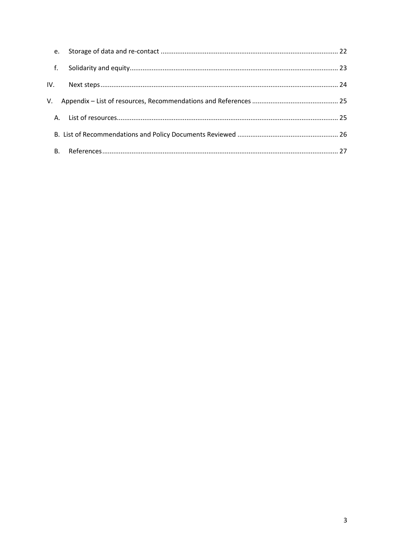|       | e.        |  |
|-------|-----------|--|
| $-f.$ |           |  |
|       |           |  |
|       |           |  |
|       |           |  |
|       |           |  |
|       | <b>B.</b> |  |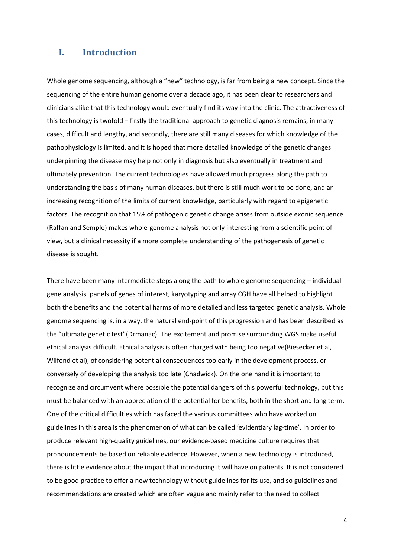## **I. Introduction**

Whole genome sequencing, although a "new" technology, is far from being a new concept. Since the sequencing of the entire human genome over a decade ago, it has been clear to researchers and clinicians alike that this technology would eventually find its way into the clinic. The attractiveness of this technology is twofold – firstly the traditional approach to genetic diagnosis remains, in many cases, difficult and lengthy, and secondly, there are still many diseases for which knowledge of the pathophysiology is limited, and it is hoped that more detailed knowledge of the genetic changes underpinning the disease may help not only in diagnosis but also eventually in treatment and ultimately prevention. The current technologies have allowed much progress along the path to understanding the basis of many human diseases, but there is still much work to be done, and an increasing recognition of the limits of current knowledge, particularly with regard to epigenetic factors. The recognition that 15% of pathogenic genetic change arises from outside exonic sequence (Raffan and Semple) makes whole-genome analysis not only interesting from a scientific point of view, but a clinical necessity if a more complete understanding of the pathogenesis of genetic disease is sought.

There have been many intermediate steps along the path to whole genome sequencing – individual gene analysis, panels of genes of interest, karyotyping and array CGH have all helped to highlight both the benefits and the potential harms of more detailed and less targeted genetic analysis. Whole genome sequencing is, in a way, the natural end-point of this progression and has been described as the "ultimate genetic test"(Drmanac). The excitement and promise surrounding WGS make useful ethical analysis difficult. Ethical analysis is often charged with being too negative(Biesecker et al, Wilfond et al), of considering potential consequences too early in the development process, or conversely of developing the analysis too late (Chadwick). On the one hand it is important to recognize and circumvent where possible the potential dangers of this powerful technology, but this must be balanced with an appreciation of the potential for benefits, both in the short and long term. One of the critical difficulties which has faced the various committees who have worked on guidelines in this area is the phenomenon of what can be called 'evidentiary lag-time'. In order to produce relevant high-quality guidelines, our evidence-based medicine culture requires that pronouncements be based on reliable evidence. However, when a new technology is introduced, there is little evidence about the impact that introducing it will have on patients. It is not considered to be good practice to offer a new technology without guidelines for its use, and so guidelines and recommendations are created which are often vague and mainly refer to the need to collect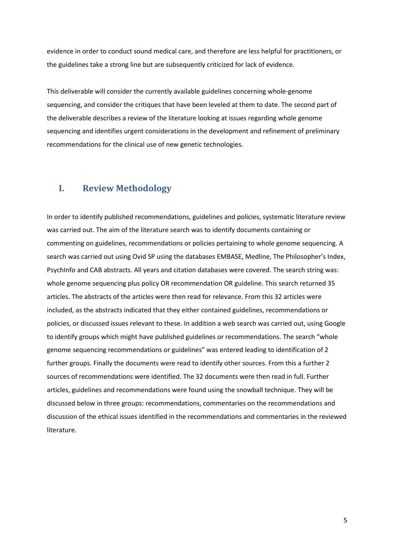evidence in order to conduct sound medical care, and therefore are less helpful for practitioners, or the guidelines take a strong line but are subsequently criticized for lack of evidence.

This deliverable will consider the currently available guidelines concerning whole-genome sequencing, and consider the critiques that have been leveled at them to date. The second part of the deliverable describes a review of the literature looking at issues regarding whole genome sequencing and identifies urgent considerations in the development and refinement of preliminary recommendations for the clinical use of new genetic technologies.

## **I. Review Methodology**

In order to identify published recommendations, guidelines and policies, systematic literature review was carried out. The aim of the literature search was to identify documents containing or commenting on guidelines, recommendations or policies pertaining to whole genome sequencing. A search was carried out using Ovid SP using the databases EMBASE, Medline, The Philosopher's Index, PsychInfo and CAB abstracts. All years and citation databases were covered. The search string was: whole genome sequencing plus policy OR recommendation OR guideline. This search returned 35 articles. The abstracts of the articles were then read for relevance. From this 32 articles were included, as the abstracts indicated that they either contained guidelines, recommendations or policies, or discussed issues relevant to these. In addition a web search was carried out, using Google to identify groups which might have published guidelines or recommendations. The search "whole genome sequencing recommendations or guidelines" was entered leading to identification of 2 further groups. Finally the documents were read to identify other sources. From this a further 2 sources of recommendations were identified. The 32 documents were then read in full. Further articles, guidelines and recommendations were found using the snowball technique. They will be discussed below in three groups: recommendations, commentaries on the recommendations and discussion of the ethical issues identified in the recommendations and commentaries in the reviewed literature.

5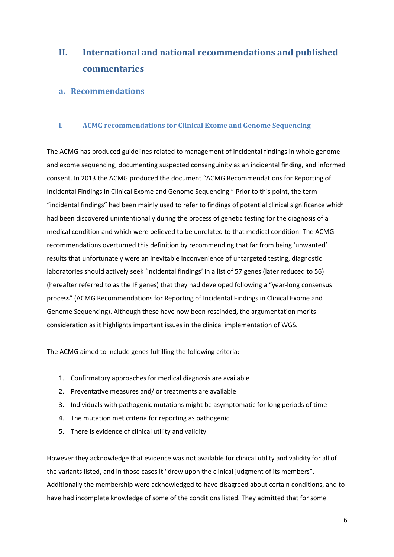## **II. International and national recommendations and published commentaries**

## **a. Recommendations**

## **i. ACMG recommendations for Clinical Exome and Genome Sequencing**

The ACMG has produced guidelines related to management of incidental findings in whole genome and exome sequencing, documenting suspected consanguinity as an incidental finding, and informed consent. In 2013 the ACMG produced the document "ACMG Recommendations for Reporting of Incidental Findings in Clinical Exome and Genome Sequencing." Prior to this point, the term "incidental findings" had been mainly used to refer to findings of potential clinical significance which had been discovered unintentionally during the process of genetic testing for the diagnosis of a medical condition and which were believed to be unrelated to that medical condition. The ACMG recommendations overturned this definition by recommending that far from being 'unwanted' results that unfortunately were an inevitable inconvenience of untargeted testing, diagnostic laboratories should actively seek 'incidental findings' in a list of 57 genes (later reduced to 56) (hereafter referred to as the IF genes) that they had developed following a "year-long consensus process" (ACMG Recommendations for Reporting of Incidental Findings in Clinical Exome and Genome Sequencing). Although these have now been rescinded, the argumentation merits consideration as it highlights important issues in the clinical implementation of WGS.

The ACMG aimed to include genes fulfilling the following criteria:

- 1. Confirmatory approaches for medical diagnosis are available
- 2. Preventative measures and/ or treatments are available
- 3. Individuals with pathogenic mutations might be asymptomatic for long periods of time
- 4. The mutation met criteria for reporting as pathogenic
- 5. There is evidence of clinical utility and validity

However they acknowledge that evidence was not available for clinical utility and validity for all of the variants listed, and in those cases it "drew upon the clinical judgment of its members". Additionally the membership were acknowledged to have disagreed about certain conditions, and to have had incomplete knowledge of some of the conditions listed. They admitted that for some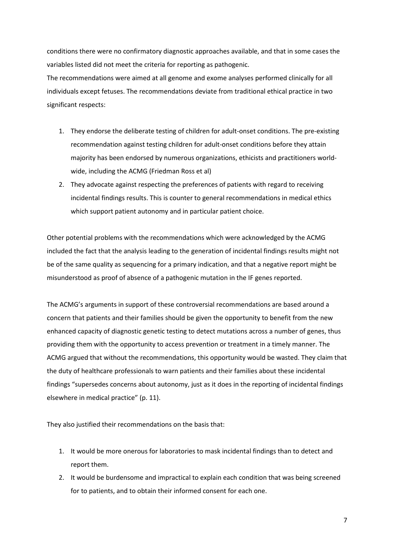conditions there were no confirmatory diagnostic approaches available, and that in some cases the variables listed did not meet the criteria for reporting as pathogenic.

The recommendations were aimed at all genome and exome analyses performed clinically for all individuals except fetuses. The recommendations deviate from traditional ethical practice in two significant respects:

- 1. They endorse the deliberate testing of children for adult-onset conditions. The pre-existing recommendation against testing children for adult-onset conditions before they attain majority has been endorsed by numerous organizations, ethicists and practitioners worldwide, including the ACMG (Friedman Ross et al)
- 2. They advocate against respecting the preferences of patients with regard to receiving incidental findings results. This is counter to general recommendations in medical ethics which support patient autonomy and in particular patient choice.

Other potential problems with the recommendations which were acknowledged by the ACMG included the fact that the analysis leading to the generation of incidental findings results might not be of the same quality as sequencing for a primary indication, and that a negative report might be misunderstood as proof of absence of a pathogenic mutation in the IF genes reported.

The ACMG's arguments in support of these controversial recommendations are based around a concern that patients and their families should be given the opportunity to benefit from the new enhanced capacity of diagnostic genetic testing to detect mutations across a number of genes, thus providing them with the opportunity to access prevention or treatment in a timely manner. The ACMG argued that without the recommendations, this opportunity would be wasted. They claim that the duty of healthcare professionals to warn patients and their families about these incidental findings "supersedes concerns about autonomy, just as it does in the reporting of incidental findings elsewhere in medical practice" (p. 11).

They also justified their recommendations on the basis that:

- 1. It would be more onerous for laboratories to mask incidental findings than to detect and report them.
- 2. It would be burdensome and impractical to explain each condition that was being screened for to patients, and to obtain their informed consent for each one.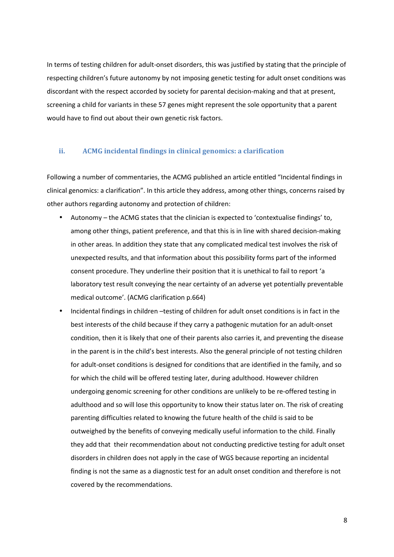In terms of testing children for adult-onset disorders, this was justified by stating that the principle of respecting children's future autonomy by not imposing genetic testing for adult onset conditions was discordant with the respect accorded by society for parental decision-making and that at present, screening a child for variants in these 57 genes might represent the sole opportunity that a parent would have to find out about their own genetic risk factors.

#### **ii. ACMG incidental findings in clinical genomics: a clarification**

Following a number of commentaries, the ACMG published an article entitled "Incidental findings in clinical genomics: a clarification". In this article they address, among other things, concerns raised by other authors regarding autonomy and protection of children:

- Autonomy the ACMG states that the clinician is expected to 'contextualise findings' to, among other things, patient preference, and that this is in line with shared decision-making in other areas. In addition they state that any complicated medical test involves the risk of unexpected results, and that information about this possibility forms part of the informed consent procedure. They underline their position that it is unethical to fail to report 'a laboratory test result conveying the near certainty of an adverse yet potentially preventable medical outcome'. (ACMG clarification p.664)
- Incidental findings in children –testing of children for adult onset conditions is in fact in the best interests of the child because if they carry a pathogenic mutation for an adult-onset condition, then it is likely that one of their parents also carries it, and preventing the disease in the parent is in the child's best interests. Also the general principle of not testing children for adult-onset conditions is designed for conditions that are identified in the family, and so for which the child will be offered testing later, during adulthood. However children undergoing genomic screening for other conditions are unlikely to be re-offered testing in adulthood and so will lose this opportunity to know their status later on. The risk of creating parenting difficulties related to knowing the future health of the child is said to be outweighed by the benefits of conveying medically useful information to the child. Finally they add that their recommendation about not conducting predictive testing for adult onset disorders in children does not apply in the case of WGS because reporting an incidental finding is not the same as a diagnostic test for an adult onset condition and therefore is not covered by the recommendations.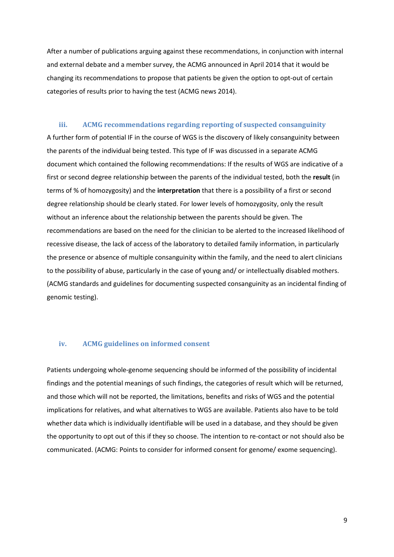After a number of publications arguing against these recommendations, in conjunction with internal and external debate and a member survey, the ACMG announced in April 2014 that it would be changing its recommendations to propose that patients be given the option to opt-out of certain categories of results prior to having the test (ACMG news 2014).

#### **iii. ACMG recommendations regarding reporting of suspected consanguinity**

A further form of potential IF in the course of WGS is the discovery of likely consanguinity between the parents of the individual being tested. This type of IF was discussed in a separate ACMG document which contained the following recommendations: If the results of WGS are indicative of a first or second degree relationship between the parents of the individual tested, both the **result** (in terms of % of homozygosity) and the **interpretation** that there is a possibility of a first or second degree relationship should be clearly stated. For lower levels of homozygosity, only the result without an inference about the relationship between the parents should be given. The recommendations are based on the need for the clinician to be alerted to the increased likelihood of recessive disease, the lack of access of the laboratory to detailed family information, in particularly the presence or absence of multiple consanguinity within the family, and the need to alert clinicians to the possibility of abuse, particularly in the case of young and/ or intellectually disabled mothers. (ACMG standards and guidelines for documenting suspected consanguinity as an incidental finding of genomic testing).

#### **iv. ACMG guidelines on informed consent**

Patients undergoing whole-genome sequencing should be informed of the possibility of incidental findings and the potential meanings of such findings, the categories of result which will be returned, and those which will not be reported, the limitations, benefits and risks of WGS and the potential implications for relatives, and what alternatives to WGS are available. Patients also have to be told whether data which is individually identifiable will be used in a database, and they should be given the opportunity to opt out of this if they so choose. The intention to re-contact or not should also be communicated. (ACMG: Points to consider for informed consent for genome/ exome sequencing).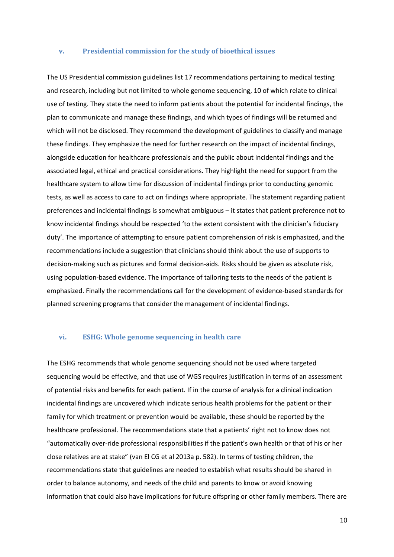#### **v. Presidential commission for the study of bioethical issues**

The US Presidential commission guidelines list 17 recommendations pertaining to medical testing and research, including but not limited to whole genome sequencing, 10 of which relate to clinical use of testing. They state the need to inform patients about the potential for incidental findings, the plan to communicate and manage these findings, and which types of findings will be returned and which will not be disclosed. They recommend the development of guidelines to classify and manage these findings. They emphasize the need for further research on the impact of incidental findings, alongside education for healthcare professionals and the public about incidental findings and the associated legal, ethical and practical considerations. They highlight the need for support from the healthcare system to allow time for discussion of incidental findings prior to conducting genomic tests, as well as access to care to act on findings where appropriate. The statement regarding patient preferences and incidental findings is somewhat ambiguous – it states that patient preference not to know incidental findings should be respected 'to the extent consistent with the clinician's fiduciary duty'. The importance of attempting to ensure patient comprehension of risk is emphasized, and the recommendations include a suggestion that clinicians should think about the use of supports to decision-making such as pictures and formal decision-aids. Risks should be given as absolute risk, using population-based evidence. The importance of tailoring tests to the needs of the patient is emphasized. Finally the recommendations call for the development of evidence-based standards for planned screening programs that consider the management of incidental findings.

#### **vi. ESHG: Whole genome sequencing in health care**

The ESHG recommends that whole genome sequencing should not be used where targeted sequencing would be effective, and that use of WGS requires justification in terms of an assessment of potential risks and benefits for each patient. If in the course of analysis for a clinical indication incidental findings are uncovered which indicate serious health problems for the patient or their family for which treatment or prevention would be available, these should be reported by the healthcare professional. The recommendations state that a patients' right not to know does not "automatically over-ride professional responsibilities if the patient's own health or that of his or her close relatives are at stake" (van El CG et al 2013a p. 582). In terms of testing children, the recommendations state that guidelines are needed to establish what results should be shared in order to balance autonomy, and needs of the child and parents to know or avoid knowing information that could also have implications for future offspring or other family members. There are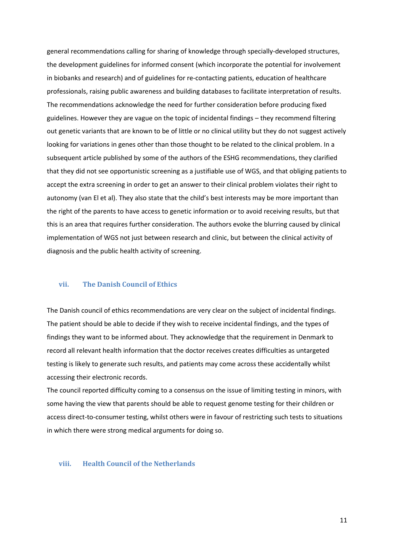general recommendations calling for sharing of knowledge through specially-developed structures, the development guidelines for informed consent (which incorporate the potential for involvement in biobanks and research) and of guidelines for re-contacting patients, education of healthcare professionals, raising public awareness and building databases to facilitate interpretation of results. The recommendations acknowledge the need for further consideration before producing fixed guidelines. However they are vague on the topic of incidental findings – they recommend filtering out genetic variants that are known to be of little or no clinical utility but they do not suggest actively looking for variations in genes other than those thought to be related to the clinical problem. In a subsequent article published by some of the authors of the ESHG recommendations, they clarified that they did not see opportunistic screening as a justifiable use of WGS, and that obliging patients to accept the extra screening in order to get an answer to their clinical problem violates their right to autonomy (van El et al). They also state that the child's best interests may be more important than the right of the parents to have access to genetic information or to avoid receiving results, but that this is an area that requires further consideration. The authors evoke the blurring caused by clinical implementation of WGS not just between research and clinic, but between the clinical activity of diagnosis and the public health activity of screening.

#### **vii. The Danish Council of Ethics**

The Danish council of ethics recommendations are very clear on the subject of incidental findings. The patient should be able to decide if they wish to receive incidental findings, and the types of findings they want to be informed about. They acknowledge that the requirement in Denmark to record all relevant health information that the doctor receives creates difficulties as untargeted testing is likely to generate such results, and patients may come across these accidentally whilst accessing their electronic records.

The council reported difficulty coming to a consensus on the issue of limiting testing in minors, with some having the view that parents should be able to request genome testing for their children or access direct-to-consumer testing, whilst others were in favour of restricting such tests to situations in which there were strong medical arguments for doing so.

#### **viii. Health Council of the Netherlands**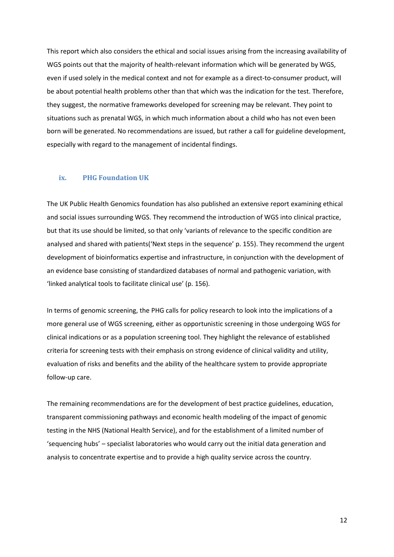This report which also considers the ethical and social issues arising from the increasing availability of WGS points out that the majority of health-relevant information which will be generated by WGS, even if used solely in the medical context and not for example as a direct-to-consumer product, will be about potential health problems other than that which was the indication for the test. Therefore, they suggest, the normative frameworks developed for screening may be relevant. They point to situations such as prenatal WGS, in which much information about a child who has not even been born will be generated. No recommendations are issued, but rather a call for guideline development, especially with regard to the management of incidental findings.

#### **ix. PHG Foundation UK**

The UK Public Health Genomics foundation has also published an extensive report examining ethical and social issues surrounding WGS. They recommend the introduction of WGS into clinical practice, but that its use should be limited, so that only 'variants of relevance to the specific condition are analysed and shared with patients('Next steps in the sequence' p. 155). They recommend the urgent development of bioinformatics expertise and infrastructure, in conjunction with the development of an evidence base consisting of standardized databases of normal and pathogenic variation, with 'linked analytical tools to facilitate clinical use' (p. 156).

In terms of genomic screening, the PHG calls for policy research to look into the implications of a more general use of WGS screening, either as opportunistic screening in those undergoing WGS for clinical indications or as a population screening tool. They highlight the relevance of established criteria for screening tests with their emphasis on strong evidence of clinical validity and utility, evaluation of risks and benefits and the ability of the healthcare system to provide appropriate follow-up care.

The remaining recommendations are for the development of best practice guidelines, education, transparent commissioning pathways and economic health modeling of the impact of genomic testing in the NHS (National Health Service), and for the establishment of a limited number of 'sequencing hubs' – specialist laboratories who would carry out the initial data generation and analysis to concentrate expertise and to provide a high quality service across the country.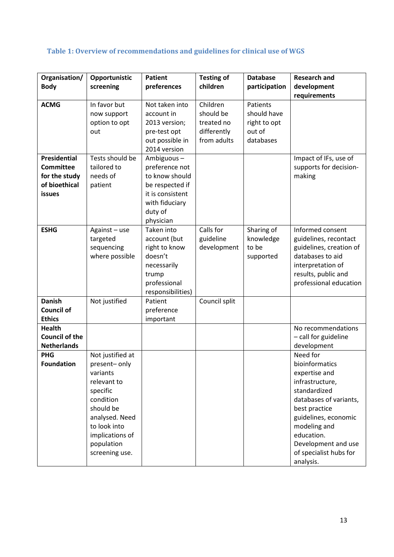## **Table 1: Overview of recommendations and guidelines for clinical use of WGS**

| Organisation/                                                                       | Opportunistic                                                                                                                                                                          | <b>Patient</b>                                                                                                                  | <b>Testing of</b>                                                 | <b>Database</b>                                                | <b>Research and</b>                                                                                                                                                                                                                           |
|-------------------------------------------------------------------------------------|----------------------------------------------------------------------------------------------------------------------------------------------------------------------------------------|---------------------------------------------------------------------------------------------------------------------------------|-------------------------------------------------------------------|----------------------------------------------------------------|-----------------------------------------------------------------------------------------------------------------------------------------------------------------------------------------------------------------------------------------------|
| <b>Body</b>                                                                         | screening                                                                                                                                                                              | preferences                                                                                                                     | children                                                          | participation                                                  | development                                                                                                                                                                                                                                   |
|                                                                                     |                                                                                                                                                                                        |                                                                                                                                 |                                                                   |                                                                | requirements                                                                                                                                                                                                                                  |
| <b>ACMG</b>                                                                         | In favor but<br>now support<br>option to opt<br>out                                                                                                                                    | Not taken into<br>account in<br>2013 version;<br>pre-test opt<br>out possible in<br>2014 version                                | Children<br>should be<br>treated no<br>differently<br>from adults | Patients<br>should have<br>right to opt<br>out of<br>databases |                                                                                                                                                                                                                                               |
| <b>Presidential</b><br><b>Committee</b><br>for the study<br>of bioethical<br>issues | Tests should be<br>tailored to<br>needs of<br>patient                                                                                                                                  | Ambiguous-<br>preference not<br>to know should<br>be respected if<br>it is consistent<br>with fiduciary<br>duty of<br>physician |                                                                   |                                                                | Impact of IFs, use of<br>supports for decision-<br>making                                                                                                                                                                                     |
| <b>ESHG</b>                                                                         | Against - use<br>targeted<br>sequencing<br>where possible                                                                                                                              | Taken into<br>account (but<br>right to know<br>doesn't<br>necessarily<br>trump<br>professional<br>responsibilities)             | Calls for<br>guideline<br>development                             | Sharing of<br>knowledge<br>to be<br>supported                  | Informed consent<br>guidelines, recontact<br>guidelines, creation of<br>databases to aid<br>interpretation of<br>results, public and<br>professional education                                                                                |
| <b>Danish</b><br><b>Council of</b><br><b>Ethics</b>                                 | Not justified                                                                                                                                                                          | Patient<br>preference<br>important                                                                                              | Council split                                                     |                                                                |                                                                                                                                                                                                                                               |
| <b>Health</b><br><b>Council of the</b><br><b>Netherlands</b>                        |                                                                                                                                                                                        |                                                                                                                                 |                                                                   |                                                                | No recommendations<br>- call for guideline<br>development                                                                                                                                                                                     |
| <b>PHG</b><br><b>Foundation</b>                                                     | Not justified at<br>present-only<br>variants<br>relevant to<br>specific<br>condition<br>should be<br>analysed. Need<br>to look into<br>implications of<br>population<br>screening use. |                                                                                                                                 |                                                                   |                                                                | Need for<br>bioinformatics<br>expertise and<br>infrastructure,<br>standardized<br>databases of variants,<br>best practice<br>guidelines, economic<br>modeling and<br>education.<br>Development and use<br>of specialist hubs for<br>analysis. |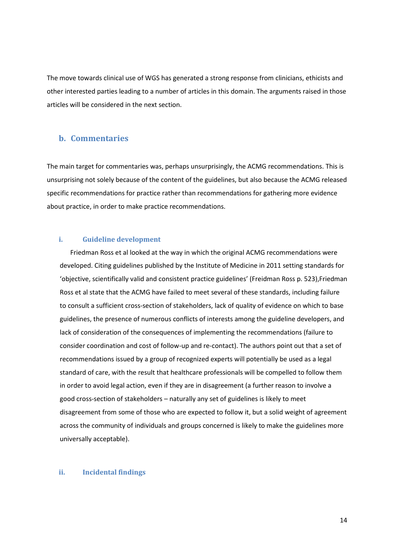The move towards clinical use of WGS has generated a strong response from clinicians, ethicists and other interested parties leading to a number of articles in this domain. The arguments raised in those articles will be considered in the next section.

### **b. Commentaries**

The main target for commentaries was, perhaps unsurprisingly, the ACMG recommendations. This is unsurprising not solely because of the content of the guidelines, but also because the ACMG released specific recommendations for practice rather than recommendations for gathering more evidence about practice, in order to make practice recommendations.

#### **i. Guideline development**

Friedman Ross et al looked at the way in which the original ACMG recommendations were developed. Citing guidelines published by the Institute of Medicine in 2011 setting standards for 'objective, scientifically valid and consistent practice guidelines' (Freidman Ross p. 523),Friedman Ross et al state that the ACMG have failed to meet several of these standards, including failure to consult a sufficient cross-section of stakeholders, lack of quality of evidence on which to base guidelines, the presence of numerous conflicts of interests among the guideline developers, and lack of consideration of the consequences of implementing the recommendations (failure to consider coordination and cost of follow-up and re-contact). The authors point out that a set of recommendations issued by a group of recognized experts will potentially be used as a legal standard of care, with the result that healthcare professionals will be compelled to follow them in order to avoid legal action, even if they are in disagreement (a further reason to involve a good cross-section of stakeholders – naturally any set of guidelines is likely to meet disagreement from some of those who are expected to follow it, but a solid weight of agreement across the community of individuals and groups concerned is likely to make the guidelines more universally acceptable).

#### **ii. Incidental findings**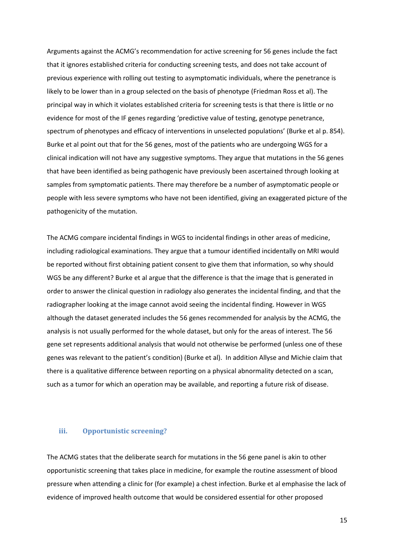Arguments against the ACMG's recommendation for active screening for 56 genes include the fact that it ignores established criteria for conducting screening tests, and does not take account of previous experience with rolling out testing to asymptomatic individuals, where the penetrance is likely to be lower than in a group selected on the basis of phenotype (Friedman Ross et al). The principal way in which it violates established criteria for screening tests is that there is little or no evidence for most of the IF genes regarding 'predictive value of testing, genotype penetrance, spectrum of phenotypes and efficacy of interventions in unselected populations' (Burke et al p. 854). Burke et al point out that for the 56 genes, most of the patients who are undergoing WGS for a clinical indication will not have any suggestive symptoms. They argue that mutations in the 56 genes that have been identified as being pathogenic have previously been ascertained through looking at samples from symptomatic patients. There may therefore be a number of asymptomatic people or people with less severe symptoms who have not been identified, giving an exaggerated picture of the pathogenicity of the mutation.

The ACMG compare incidental findings in WGS to incidental findings in other areas of medicine, including radiological examinations. They argue that a tumour identified incidentally on MRI would be reported without first obtaining patient consent to give them that information, so why should WGS be any different? Burke et al argue that the difference is that the image that is generated in order to answer the clinical question in radiology also generates the incidental finding, and that the radiographer looking at the image cannot avoid seeing the incidental finding. However in WGS although the dataset generated includes the 56 genes recommended for analysis by the ACMG, the analysis is not usually performed for the whole dataset, but only for the areas of interest. The 56 gene set represents additional analysis that would not otherwise be performed (unless one of these genes was relevant to the patient's condition) (Burke et al). In addition Allyse and Michie claim that there is a qualitative difference between reporting on a physical abnormality detected on a scan, such as a tumor for which an operation may be available, and reporting a future risk of disease.

#### **iii. Opportunistic screening?**

The ACMG states that the deliberate search for mutations in the 56 gene panel is akin to other opportunistic screening that takes place in medicine, for example the routine assessment of blood pressure when attending a clinic for (for example) a chest infection. Burke et al emphasise the lack of evidence of improved health outcome that would be considered essential for other proposed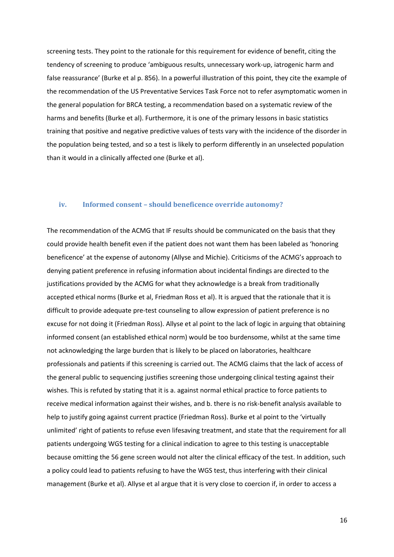screening tests. They point to the rationale for this requirement for evidence of benefit, citing the tendency of screening to produce 'ambiguous results, unnecessary work-up, iatrogenic harm and false reassurance' (Burke et al p. 856). In a powerful illustration of this point, they cite the example of the recommendation of the US Preventative Services Task Force not to refer asymptomatic women in the general population for BRCA testing, a recommendation based on a systematic review of the harms and benefits (Burke et al). Furthermore, it is one of the primary lessons in basic statistics training that positive and negative predictive values of tests vary with the incidence of the disorder in the population being tested, and so a test is likely to perform differently in an unselected population than it would in a clinically affected one (Burke et al).

#### **iv. Informed consent – should beneficence override autonomy?**

The recommendation of the ACMG that IF results should be communicated on the basis that they could provide health benefit even if the patient does not want them has been labeled as 'honoring beneficence' at the expense of autonomy (Allyse and Michie). Criticisms of the ACMG's approach to denying patient preference in refusing information about incidental findings are directed to the justifications provided by the ACMG for what they acknowledge is a break from traditionally accepted ethical norms (Burke et al, Friedman Ross et al). It is argued that the rationale that it is difficult to provide adequate pre-test counseling to allow expression of patient preference is no excuse for not doing it (Friedman Ross). Allyse et al point to the lack of logic in arguing that obtaining informed consent (an established ethical norm) would be too burdensome, whilst at the same time not acknowledging the large burden that is likely to be placed on laboratories, healthcare professionals and patients if this screening is carried out. The ACMG claims that the lack of access of the general public to sequencing justifies screening those undergoing clinical testing against their wishes. This is refuted by stating that it is a. against normal ethical practice to force patients to receive medical information against their wishes, and b. there is no risk-benefit analysis available to help to justify going against current practice (Friedman Ross). Burke et al point to the 'virtually unlimited' right of patients to refuse even lifesaving treatment, and state that the requirement for all patients undergoing WGS testing for a clinical indication to agree to this testing is unacceptable because omitting the 56 gene screen would not alter the clinical efficacy of the test. In addition, such a policy could lead to patients refusing to have the WGS test, thus interfering with their clinical management (Burke et al). Allyse et al argue that it is very close to coercion if, in order to access a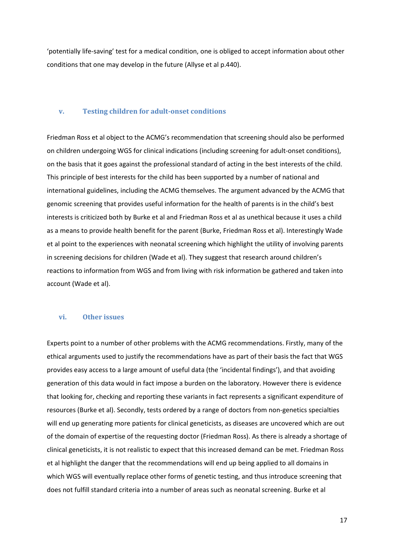'potentially life-saving' test for a medical condition, one is obliged to accept information about other conditions that one may develop in the future (Allyse et al p.440).

#### **v. Testing children for adult-onset conditions**

Friedman Ross et al object to the ACMG's recommendation that screening should also be performed on children undergoing WGS for clinical indications (including screening for adult-onset conditions), on the basis that it goes against the professional standard of acting in the best interests of the child. This principle of best interests for the child has been supported by a number of national and international guidelines, including the ACMG themselves. The argument advanced by the ACMG that genomic screening that provides useful information for the health of parents is in the child's best interests is criticized both by Burke et al and Friedman Ross et al as unethical because it uses a child as a means to provide health benefit for the parent (Burke, Friedman Ross et al). Interestingly Wade et al point to the experiences with neonatal screening which highlight the utility of involving parents in screening decisions for children (Wade et al). They suggest that research around children's reactions to information from WGS and from living with risk information be gathered and taken into account (Wade et al).

#### **vi. Other issues**

Experts point to a number of other problems with the ACMG recommendations. Firstly, many of the ethical arguments used to justify the recommendations have as part of their basis the fact that WGS provides easy access to a large amount of useful data (the 'incidental findings'), and that avoiding generation of this data would in fact impose a burden on the laboratory. However there is evidence that looking for, checking and reporting these variants in fact represents a significant expenditure of resources (Burke et al). Secondly, tests ordered by a range of doctors from non-genetics specialties will end up generating more patients for clinical geneticists, as diseases are uncovered which are out of the domain of expertise of the requesting doctor (Friedman Ross). As there is already a shortage of clinical geneticists, it is not realistic to expect that this increased demand can be met. Friedman Ross et al highlight the danger that the recommendations will end up being applied to all domains in which WGS will eventually replace other forms of genetic testing, and thus introduce screening that does not fulfill standard criteria into a number of areas such as neonatal screening. Burke et al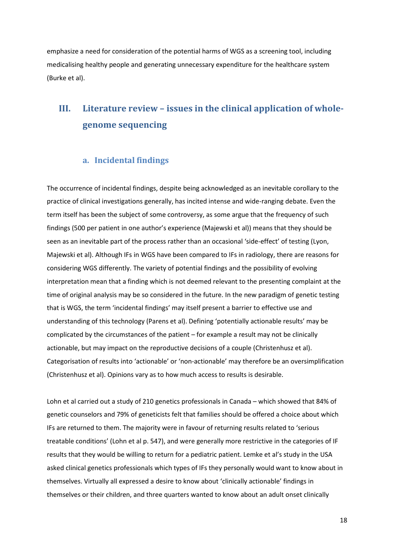emphasize a need for consideration of the potential harms of WGS as a screening tool, including medicalising healthy people and generating unnecessary expenditure for the healthcare system (Burke et al).

## **III. Literature review – issues in the clinical application of wholegenome sequencing**

## **a. Incidental findings**

The occurrence of incidental findings, despite being acknowledged as an inevitable corollary to the practice of clinical investigations generally, has incited intense and wide-ranging debate. Even the term itself has been the subject of some controversy, as some argue that the frequency of such findings (500 per patient in one author's experience (Majewski et al)) means that they should be seen as an inevitable part of the process rather than an occasional 'side-effect' of testing (Lyon, Majewski et al). Although IFs in WGS have been compared to IFs in radiology, there are reasons for considering WGS differently. The variety of potential findings and the possibility of evolving interpretation mean that a finding which is not deemed relevant to the presenting complaint at the time of original analysis may be so considered in the future. In the new paradigm of genetic testing that is WGS, the term 'incidental findings' may itself present a barrier to effective use and understanding of this technology (Parens et al). Defining 'potentially actionable results' may be complicated by the circumstances of the patient – for example a result may not be clinically actionable, but may impact on the reproductive decisions of a couple (Christenhusz et al). Categorisation of results into 'actionable' or 'non-actionable' may therefore be an oversimplification (Christenhusz et al). Opinions vary as to how much access to results is desirable.

Lohn et al carried out a study of 210 genetics professionals in Canada – which showed that 84% of genetic counselors and 79% of geneticists felt that families should be offered a choice about which IFs are returned to them. The majority were in favour of returning results related to 'serious treatable conditions' (Lohn et al p. 547), and were generally more restrictive in the categories of IF results that they would be willing to return for a pediatric patient. Lemke et al's study in the USA asked clinical genetics professionals which types of IFs they personally would want to know about in themselves. Virtually all expressed a desire to know about 'clinically actionable' findings in themselves or their children, and three quarters wanted to know about an adult onset clinically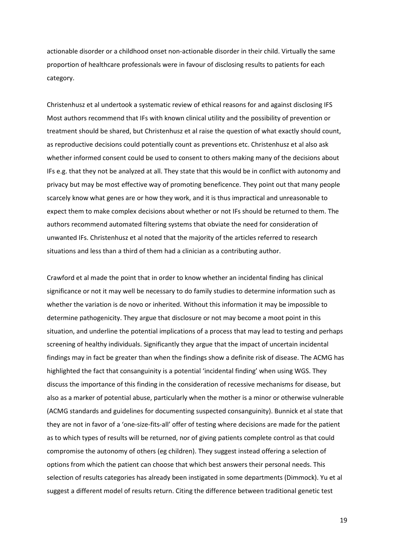actionable disorder or a childhood onset non-actionable disorder in their child. Virtually the same proportion of healthcare professionals were in favour of disclosing results to patients for each category.

Christenhusz et al undertook a systematic review of ethical reasons for and against disclosing IFS Most authors recommend that IFs with known clinical utility and the possibility of prevention or treatment should be shared, but Christenhusz et al raise the question of what exactly should count, as reproductive decisions could potentially count as preventions etc. Christenhusz et al also ask whether informed consent could be used to consent to others making many of the decisions about IFs e.g. that they not be analyzed at all. They state that this would be in conflict with autonomy and privacy but may be most effective way of promoting beneficence. They point out that many people scarcely know what genes are or how they work, and it is thus impractical and unreasonable to expect them to make complex decisions about whether or not IFs should be returned to them. The authors recommend automated filtering systems that obviate the need for consideration of unwanted IFs. Christenhusz et al noted that the majority of the articles referred to research situations and less than a third of them had a clinician as a contributing author.

Crawford et al made the point that in order to know whether an incidental finding has clinical significance or not it may well be necessary to do family studies to determine information such as whether the variation is de novo or inherited. Without this information it may be impossible to determine pathogenicity. They argue that disclosure or not may become a moot point in this situation, and underline the potential implications of a process that may lead to testing and perhaps screening of healthy individuals. Significantly they argue that the impact of uncertain incidental findings may in fact be greater than when the findings show a definite risk of disease. The ACMG has highlighted the fact that consanguinity is a potential 'incidental finding' when using WGS. They discuss the importance of this finding in the consideration of recessive mechanisms for disease, but also as a marker of potential abuse, particularly when the mother is a minor or otherwise vulnerable (ACMG standards and guidelines for documenting suspected consanguinity). Bunnick et al state that they are not in favor of a 'one-size-fits-all' offer of testing where decisions are made for the patient as to which types of results will be returned, nor of giving patients complete control as that could compromise the autonomy of others (eg children). They suggest instead offering a selection of options from which the patient can choose that which best answers their personal needs. This selection of results categories has already been instigated in some departments (Dimmock). Yu et al suggest a different model of results return. Citing the difference between traditional genetic test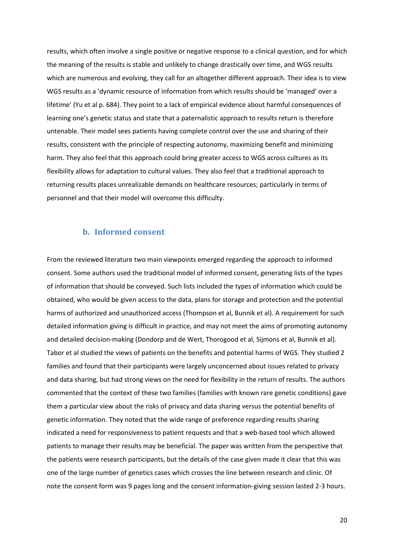results, which often involve a single positive or negative response to a clinical question, and for which the meaning of the results is stable and unlikely to change drastically over time, and WGS results which are numerous and evolving, they call for an altogether different approach. Their idea is to view WGS results as a 'dynamic resource of information from which results should be 'managed' over a lifetime' (Yu et al p. 684). They point to a lack of empirical evidence about harmful consequences of learning one's genetic status and state that a paternalistic approach to results return is therefore untenable. Their model sees patients having complete control over the use and sharing of their results, consistent with the principle of respecting autonomy, maximizing benefit and minimizing harm. They also feel that this approach could bring greater access to WGS across cultures as its flexibility allows for adaptation to cultural values. They also feel that a traditional approach to returning results places unrealizable demands on healthcare resources; particularly in terms of personnel and that their model will overcome this difficulty.

### **b. Informed consent**

From the reviewed literature two main viewpoints emerged regarding the approach to informed consent. Some authors used the traditional model of informed consent, generating lists of the types of information that should be conveyed. Such lists included the types of information which could be obtained, who would be given access to the data, plans for storage and protection and the potential harms of authorized and unauthorized access (Thompson et al, Bunnik et al). A requirement for such detailed information giving is difficult in practice, and may not meet the aims of promoting autonomy and detailed decision-making (Dondorp and de Wert, Thorogood et al, Sijmons et al, Bunnik et al). Tabor et al studied the views of patients on the benefits and potential harms of WGS. They studied 2 families and found that their participants were largely unconcerned about issues related to privacy and data sharing, but had strong views on the need for flexibility in the return of results. The authors commented that the context of these two families (families with known rare genetic conditions) gave them a particular view about the risks of privacy and data sharing versus the potential benefits of genetic information. They noted that the wide range of preference regarding results sharing indicated a need for responsiveness to patient requests and that a web-based tool which allowed patients to manage their results may be beneficial. The paper was written from the perspective that the patients were research participants, but the details of the case given made it clear that this was one of the large number of genetics cases which crosses the line between research and clinic. Of note the consent form was 9 pages long and the consent information-giving session lasted 2-3 hours.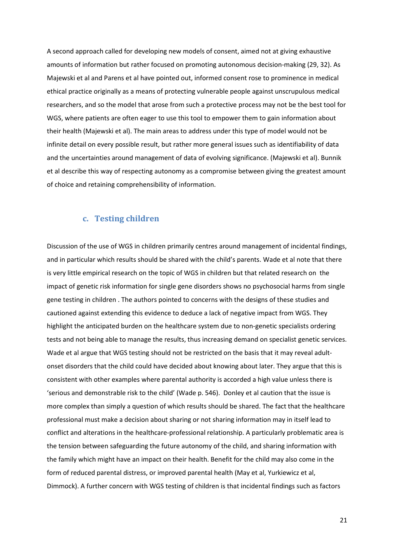A second approach called for developing new models of consent, aimed not at giving exhaustive amounts of information but rather focused on promoting autonomous decision-making (29, 32). As Majewski et al and Parens et al have pointed out, informed consent rose to prominence in medical ethical practice originally as a means of protecting vulnerable people against unscrupulous medical researchers, and so the model that arose from such a protective process may not be the best tool for WGS, where patients are often eager to use this tool to empower them to gain information about their health (Majewski et al). The main areas to address under this type of model would not be infinite detail on every possible result, but rather more general issues such as identifiability of data and the uncertainties around management of data of evolving significance. (Majewski et al). Bunnik et al describe this way of respecting autonomy as a compromise between giving the greatest amount of choice and retaining comprehensibility of information.

## **c. Testing children**

Discussion of the use of WGS in children primarily centres around management of incidental findings, and in particular which results should be shared with the child's parents. Wade et al note that there is very little empirical research on the topic of WGS in children but that related research on the impact of genetic risk information for single gene disorders shows no psychosocial harms from single gene testing in children . The authors pointed to concerns with the designs of these studies and cautioned against extending this evidence to deduce a lack of negative impact from WGS. They highlight the anticipated burden on the healthcare system due to non-genetic specialists ordering tests and not being able to manage the results, thus increasing demand on specialist genetic services. Wade et al argue that WGS testing should not be restricted on the basis that it may reveal adultonset disorders that the child could have decided about knowing about later. They argue that this is consistent with other examples where parental authority is accorded a high value unless there is 'serious and demonstrable risk to the child' (Wade p. 546). Donley et al caution that the issue is more complex than simply a question of which results should be shared. The fact that the healthcare professional must make a decision about sharing or not sharing information may in itself lead to conflict and alterations in the healthcare-professional relationship. A particularly problematic area is the tension between safeguarding the future autonomy of the child, and sharing information with the family which might have an impact on their health. Benefit for the child may also come in the form of reduced parental distress, or improved parental health (May et al, Yurkiewicz et al, Dimmock). A further concern with WGS testing of children is that incidental findings such as factors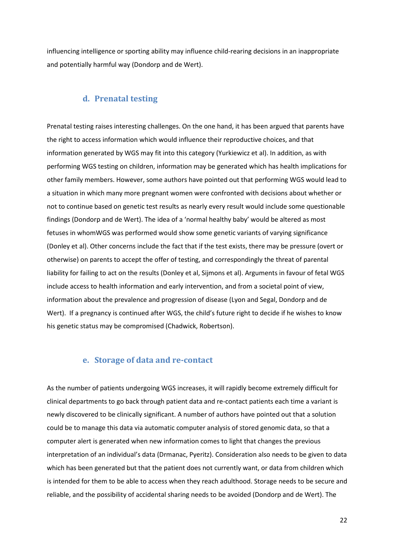influencing intelligence or sporting ability may influence child-rearing decisions in an inappropriate and potentially harmful way (Dondorp and de Wert).

## **d. Prenatal testing**

Prenatal testing raises interesting challenges. On the one hand, it has been argued that parents have the right to access information which would influence their reproductive choices, and that information generated by WGS may fit into this category (Yurkiewicz et al). In addition, as with performing WGS testing on children, information may be generated which has health implications for other family members. However, some authors have pointed out that performing WGS would lead to a situation in which many more pregnant women were confronted with decisions about whether or not to continue based on genetic test results as nearly every result would include some questionable findings (Dondorp and de Wert). The idea of a 'normal healthy baby' would be altered as most fetuses in whomWGS was performed would show some genetic variants of varying significance (Donley et al). Other concerns include the fact that if the test exists, there may be pressure (overt or otherwise) on parents to accept the offer of testing, and correspondingly the threat of parental liability for failing to act on the results (Donley et al, Sijmons et al). Arguments in favour of fetal WGS include access to health information and early intervention, and from a societal point of view, information about the prevalence and progression of disease (Lyon and Segal, Dondorp and de Wert). If a pregnancy is continued after WGS, the child's future right to decide if he wishes to know his genetic status may be compromised (Chadwick, Robertson).

### **e. Storage of data and re-contact**

As the number of patients undergoing WGS increases, it will rapidly become extremely difficult for clinical departments to go back through patient data and re-contact patients each time a variant is newly discovered to be clinically significant. A number of authors have pointed out that a solution could be to manage this data via automatic computer analysis of stored genomic data, so that a computer alert is generated when new information comes to light that changes the previous interpretation of an individual's data (Drmanac, Pyeritz). Consideration also needs to be given to data which has been generated but that the patient does not currently want, or data from children which is intended for them to be able to access when they reach adulthood. Storage needs to be secure and reliable, and the possibility of accidental sharing needs to be avoided (Dondorp and de Wert). The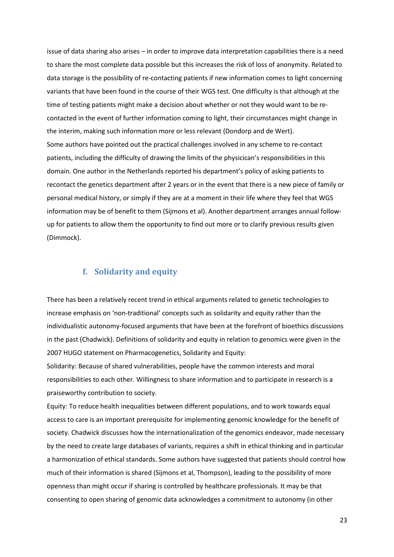issue of data sharing also arises – in order to improve data interpretation capabilities there is a need to share the most complete data possible but this increases the risk of loss of anonymity. Related to data storage is the possibility of re-contacting patients if new information comes to light concerning variants that have been found in the course of their WGS test. One difficulty is that although at the time of testing patients might make a decision about whether or not they would want to be recontacted in the event of further information coming to light, their circumstances might change in the interim, making such information more or less relevant (Dondorp and de Wert). Some authors have pointed out the practical challenges involved in any scheme to re-contact patients, including the difficulty of drawing the limits of the physicican's responsibilities in this domain. One author in the Netherlands reported his department's policy of asking patients to recontact the genetics department after 2 years or in the event that there is a new piece of family or personal medical history, or simply if they are at a moment in their life where they feel that WGS information may be of benefit to them (Sijmons et al). Another department arranges annual followup for patients to allow them the opportunity to find out more or to clarify previous results given (Dimmock).

## **f. Solidarity and equity**

There has been a relatively recent trend in ethical arguments related to genetic technologies to increase emphasis on 'non-traditional' concepts such as solidarity and equity rather than the individualistic autonomy-focused arguments that have been at the forefront of bioethics discussions in the past (Chadwick). Definitions of solidarity and equity in relation to genomics were given in the 2007 HUGO statement on Pharmacogenetics, Solidarity and Equity:

Solidarity: Because of shared vulnerabilities, people have the common interests and moral responsibilities to each other. Willingness to share information and to participate in research is a praiseworthy contribution to society.

Equity: To reduce health inequalities between different populations, and to work towards equal access to care is an important prerequisite for implementing genomic knowledge for the benefit of society. Chadwick discusses how the internationalization of the genomics endeavor, made necessary by the need to create large databases of variants, requires a shift in ethical thinking and in particular a harmonization of ethical standards. Some authors have suggested that patients should control how much of their information is shared (Sijmons et al, Thompson), leading to the possibility of more openness than might occur if sharing is controlled by healthcare professionals. It may be that consenting to open sharing of genomic data acknowledges a commitment to autonomy (in other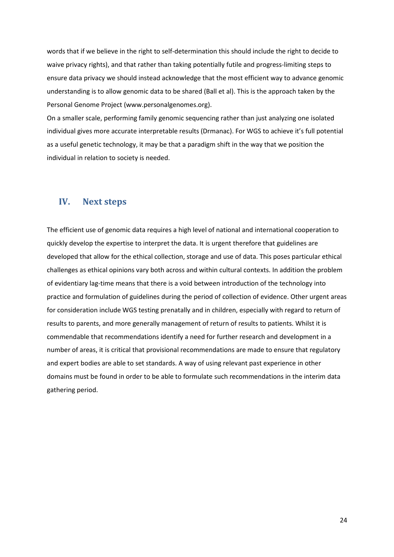words that if we believe in the right to self-determination this should include the right to decide to waive privacy rights), and that rather than taking potentially futile and progress-limiting steps to ensure data privacy we should instead acknowledge that the most efficient way to advance genomic understanding is to allow genomic data to be shared (Ball et al). This is the approach taken by the Personal Genome Project (www.personalgenomes.org).

On a smaller scale, performing family genomic sequencing rather than just analyzing one isolated individual gives more accurate interpretable results (Drmanac). For WGS to achieve it's full potential as a useful genetic technology, it may be that a paradigm shift in the way that we position the individual in relation to society is needed.

## **IV. Next steps**

The efficient use of genomic data requires a high level of national and international cooperation to quickly develop the expertise to interpret the data. It is urgent therefore that guidelines are developed that allow for the ethical collection, storage and use of data. This poses particular ethical challenges as ethical opinions vary both across and within cultural contexts. In addition the problem of evidentiary lag-time means that there is a void between introduction of the technology into practice and formulation of guidelines during the period of collection of evidence. Other urgent areas for consideration include WGS testing prenatally and in children, especially with regard to return of results to parents, and more generally management of return of results to patients. Whilst it is commendable that recommendations identify a need for further research and development in a number of areas, it is critical that provisional recommendations are made to ensure that regulatory and expert bodies are able to set standards. A way of using relevant past experience in other domains must be found in order to be able to formulate such recommendations in the interim data gathering period.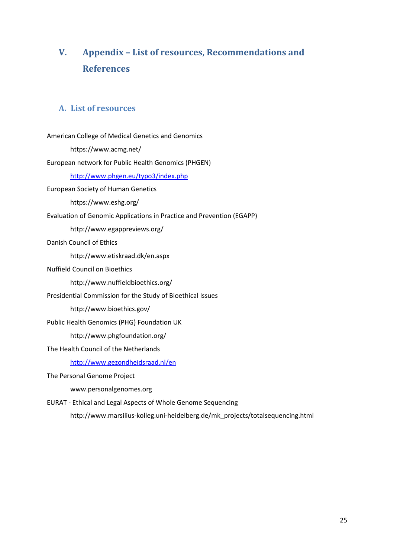# **V. Appendix – List of resources, Recommendations and References**

## **A. List of resources**

| American College of Medical Genetics and Genomics                              |
|--------------------------------------------------------------------------------|
| https://www.acmg.net/                                                          |
| European network for Public Health Genomics (PHGEN)                            |
| http://www.phgen.eu/typo3/index.php                                            |
| <b>European Society of Human Genetics</b>                                      |
| https://www.eshg.org/                                                          |
| Evaluation of Genomic Applications in Practice and Prevention (EGAPP)          |
| http://www.egappreviews.org/                                                   |
| Danish Council of Ethics                                                       |
| http://www.etiskraad.dk/en.aspx                                                |
| <b>Nuffield Council on Bioethics</b>                                           |
| http://www.nuffieldbioethics.org/                                              |
| Presidential Commission for the Study of Bioethical Issues                     |
| http://www.bioethics.gov/                                                      |
| Public Health Genomics (PHG) Foundation UK                                     |
| http://www.phgfoundation.org/                                                  |
| The Health Council of the Netherlands                                          |
| http://www.gezondheidsraad.nl/en                                               |
| The Personal Genome Project                                                    |
| www.personalgenomes.org                                                        |
| EURAT - Ethical and Legal Aspects of Whole Genome Sequencing                   |
| http://www.marsilius-kolleg.uni-heidelberg.de/mk_projects/totalsequencing.html |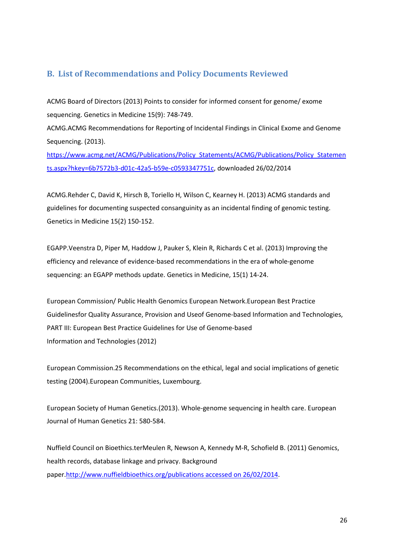## **B. List of Recommendations and Policy Documents Reviewed**

ACMG Board of Directors (2013) Points to consider for informed consent for genome/ exome sequencing. Genetics in Medicine 15(9): 748-749.

ACMG.ACMG Recommendations for Reporting of Incidental Findings in Clinical Exome and Genome Sequencing. (2013).

https://www.acmg.net/ACMG/Publications/Policy\_Statements/ACMG/Publications/Policy\_Statemen ts.aspx?hkey=6b7572b3-d01c-42a5-b59e-c0593347751c, downloaded 26/02/2014

ACMG.Rehder C, David K, Hirsch B, Toriello H, Wilson C, Kearney H. (2013) ACMG standards and guidelines for documenting suspected consanguinity as an incidental finding of genomic testing. Genetics in Medicine 15(2) 150-152.

EGAPP.Veenstra D, Piper M, Haddow J, Pauker S, Klein R, Richards C et al. (2013) Improving the efficiency and relevance of evidence-based recommendations in the era of whole-genome sequencing: an EGAPP methods update. Genetics in Medicine, 15(1) 14-24.

European Commission/ Public Health Genomics European Network.European Best Practice Guidelinesfor Quality Assurance, Provision and Useof Genome-based Information and Technologies, PART III: European Best Practice Guidelines for Use of Genome-based Information and Technologies (2012)

European Commission.25 Recommendations on the ethical, legal and social implications of genetic testing (2004).European Communities, Luxembourg.

European Society of Human Genetics.(2013). Whole-genome sequencing in health care. European Journal of Human Genetics 21: 580-584.

Nuffield Council on Bioethics.terMeulen R, Newson A, Kennedy M-R, Schofield B. (2011) Genomics, health records, database linkage and privacy. Background paper.http://www.nuffieldbioethics.org/publications accessed on 26/02/2014.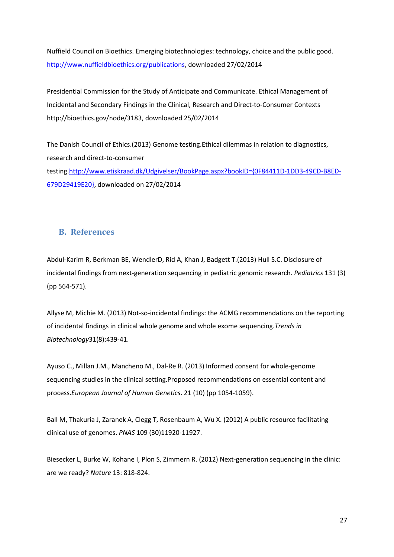Nuffield Council on Bioethics. Emerging biotechnologies: technology, choice and the public good. http://www.nuffieldbioethics.org/publications, downloaded 27/02/2014

Presidential Commission for the Study of Anticipate and Communicate. Ethical Management of Incidental and Secondary Findings in the Clinical, Research and Direct-to-Consumer Contexts http://bioethics.gov/node/3183, downloaded 25/02/2014

The Danish Council of Ethics.(2013) Genome testing.Ethical dilemmas in relation to diagnostics, research and direct-to-consumer testing.http://www.etiskraad.dk/Udgivelser/BookPage.aspx?bookID={0F84411D-1DD3-49CD-B8ED-679D29419E20}, downloaded on 27/02/2014

## **B. References**

Abdul-Karim R, Berkman BE, WendlerD, Rid A, Khan J, Badgett T.(2013) Hull S.C. Disclosure of incidental findings from next-generation sequencing in pediatric genomic research. *Pediatrics* 131 (3) (pp 564-571).

Allyse M, Michie M. (2013) Not-so-incidental findings: the ACMG recommendations on the reporting of incidental findings in clinical whole genome and whole exome sequencing.*Trends in Biotechnology*31(8):439-41.

Ayuso C., Millan J.M., Mancheno M., Dal-Re R. (2013) Informed consent for whole-genome sequencing studies in the clinical setting.Proposed recommendations on essential content and process.*European Journal of Human Genetics*. 21 (10) (pp 1054-1059).

Ball M, Thakuria J, Zaranek A, Clegg T, Rosenbaum A, Wu X. (2012) A public resource facilitating clinical use of genomes. *PNAS* 109 (30)11920-11927.

Biesecker L, Burke W, Kohane I, Plon S, Zimmern R. (2012) Next-generation sequencing in the clinic: are we ready? *Nature* 13: 818-824.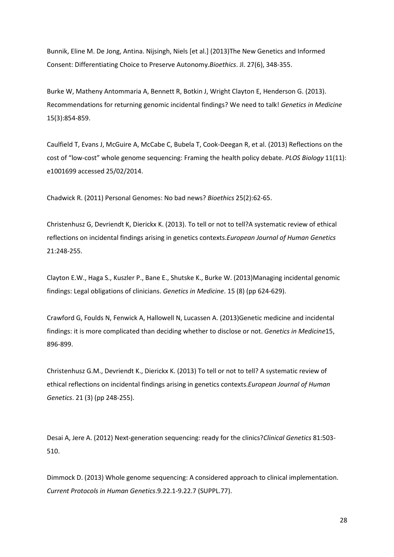Bunnik, Eline M. De Jong, Antina. Nijsingh, Niels [et al.] (2013)The New Genetics and Informed Consent: Differentiating Choice to Preserve Autonomy.*Bioethics*. Jl. 27(6), 348-355.

Burke W, Matheny Antommaria A, Bennett R, Botkin J, Wright Clayton E, Henderson G. (2013). Recommendations for returning genomic incidental findings? We need to talk! *Genetics in Medicine* 15(3):854-859.

Caulfield T, Evans J, McGuire A, McCabe C, Bubela T, Cook-Deegan R, et al. (2013) Reflections on the cost of "low-cost" whole genome sequencing: Framing the health policy debate. *PLOS Biology* 11(11): e1001699 accessed 25/02/2014.

Chadwick R. (2011) Personal Genomes: No bad news? *Bioethics* 25(2):62-65.

Christenhusz G, Devriendt K, Dierickx K. (2013). To tell or not to tell?A systematic review of ethical reflections on incidental findings arising in genetics contexts.*European Journal of Human Genetics* 21:248-255.

Clayton E.W., Haga S., Kuszler P., Bane E., Shutske K., Burke W. (2013)Managing incidental genomic findings: Legal obligations of clinicians. *Genetics in Medicine*. 15 (8) (pp 624-629).

Crawford G, Foulds N, Fenwick A, Hallowell N, Lucassen A. (2013)Genetic medicine and incidental findings: it is more complicated than deciding whether to disclose or not. *Genetics in Medicine*15, 896-899.

Christenhusz G.M., Devriendt K., Dierickx K. (2013) To tell or not to tell? A systematic review of ethical reflections on incidental findings arising in genetics contexts.*European Journal of Human Genetics*. 21 (3) (pp 248-255).

Desai A, Jere A. (2012) Next-generation sequencing: ready for the clinics?*Clinical Genetics* 81:503- 510.

Dimmock D. (2013) Whole genome sequencing: A considered approach to clinical implementation. *Current Protocols in Human Genetics*.9.22.1-9.22.7 (SUPPL.77).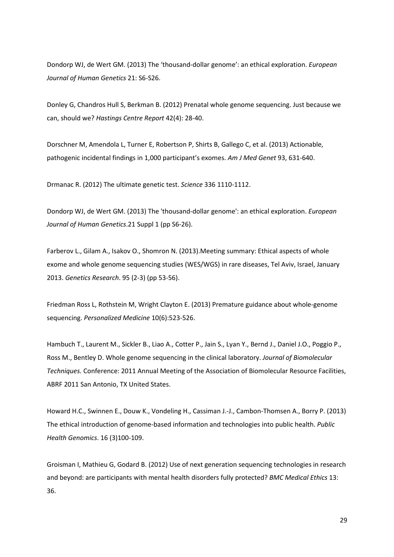Dondorp WJ, de Wert GM. (2013) The 'thousand-dollar genome': an ethical exploration. *European Journal of Human Genetics* 21: S6-S26.

Donley G, Chandros Hull S, Berkman B. (2012) Prenatal whole genome sequencing. Just because we can, should we? *Hastings Centre Report* 42(4): 28-40.

Dorschner M, Amendola L, Turner E, Robertson P, Shirts B, Gallego C, et al. (2013) Actionable, pathogenic incidental findings in 1,000 participant's exomes. *Am J Med Genet* 93, 631-640.

Drmanac R. (2012) The ultimate genetic test. *Science* 336 1110-1112.

Dondorp WJ, de Wert GM. (2013) The 'thousand-dollar genome': an ethical exploration. *European Journal of Human Genetics*.21 Suppl 1 (pp S6-26).

Farberov L., Gilam A., Isakov O., Shomron N. (2013).Meeting summary: Ethical aspects of whole exome and whole genome sequencing studies (WES/WGS) in rare diseases, Tel Aviv, Israel, January 2013. *Genetics Research*. 95 (2-3) (pp 53-56).

Friedman Ross L, Rothstein M, Wright Clayton E. (2013) Premature guidance about whole-genome sequencing. *Personalized Medicine* 10(6):523-526.

Hambuch T., Laurent M., Sickler B., Liao A., Cotter P., Jain S., Lyan Y., Bernd J., Daniel J.O., Poggio P., Ross M., Bentley D. Whole genome sequencing in the clinical laboratory. *Journal of Biomolecular Techniques.* Conference: 2011 Annual Meeting of the Association of Biomolecular Resource Facilities, ABRF 2011 San Antonio, TX United States.

Howard H.C., Swinnen E., Douw K., Vondeling H., Cassiman J.-J., Cambon-Thomsen A., Borry P. (2013) The ethical introduction of genome-based information and technologies into public health. *Public Health Genomics*. 16 (3)100-109.

Groisman I, Mathieu G, Godard B. (2012) Use of next generation sequencing technologies in research and beyond: are participants with mental health disorders fully protected? *BMC Medical Ethics* 13: 36.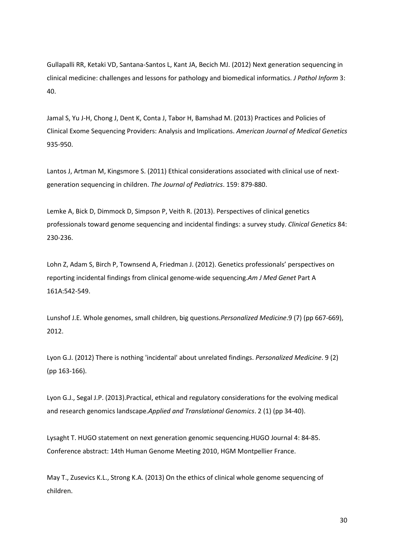Gullapalli RR, Ketaki VD, Santana-Santos L, Kant JA, Becich MJ. (2012) Next generation sequencing in clinical medicine: challenges and lessons for pathology and biomedical informatics. *J Pathol Inform* 3: 40.

Jamal S, Yu J-H, Chong J, Dent K, Conta J, Tabor H, Bamshad M. (2013) Practices and Policies of Clinical Exome Sequencing Providers: Analysis and Implications. *American Journal of Medical Genetics* 935-950.

Lantos J, Artman M, Kingsmore S. (2011) Ethical considerations associated with clinical use of nextgeneration sequencing in children. *The Journal of Pediatrics*. 159: 879-880.

Lemke A, Bick D, Dimmock D, Simpson P, Veith R. (2013). Perspectives of clinical genetics professionals toward genome sequencing and incidental findings: a survey study. *Clinical Genetics* 84: 230-236.

Lohn Z, Adam S, Birch P, Townsend A, Friedman J. (2012). Genetics professionals' perspectives on reporting incidental findings from clinical genome-wide sequencing.*Am J Med Genet* Part A 161A:542-549.

Lunshof J.E. Whole genomes, small children, big questions.*Personalized Medicine*.9 (7) (pp 667-669), 2012.

Lyon G.J. (2012) There is nothing 'incidental' about unrelated findings. *Personalized Medicine*. 9 (2) (pp 163-166).

Lyon G.J., Segal J.P. (2013).Practical, ethical and regulatory considerations for the evolving medical and research genomics landscape.*Applied and Translational Genomics*. 2 (1) (pp 34-40).

Lysaght T. HUGO statement on next generation genomic sequencing.HUGO Journal 4: 84-85. Conference abstract: 14th Human Genome Meeting 2010, HGM Montpellier France.

May T., Zusevics K.L., Strong K.A. (2013) On the ethics of clinical whole genome sequencing of children.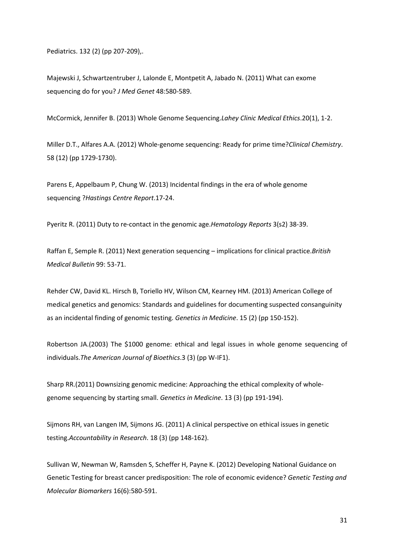Pediatrics. 132 (2) (pp 207-209),.

Majewski J, Schwartzentruber J, Lalonde E, Montpetit A, Jabado N. (2011) What can exome sequencing do for you? *J Med Genet* 48:580-589.

McCormick, Jennifer B. (2013) Whole Genome Sequencing.*Lahey Clinic Medical Ethics*.20(1), 1-2.

Miller D.T., Alfares A.A. (2012) Whole-genome sequencing: Ready for prime time?*Clinical Chemistry*. 58 (12) (pp 1729-1730).

Parens E, Appelbaum P, Chung W. (2013) Incidental findings in the era of whole genome sequencing ?*Hastings Centre Report*.17-24.

Pyeritz R. (2011) Duty to re-contact in the genomic age.*Hematology Reports* 3(s2) 38-39.

Raffan E, Semple R. (2011) Next generation sequencing – implications for clinical practice.*British Medical Bulletin* 99: 53-71.

Rehder CW, David KL. Hirsch B, Toriello HV, Wilson CM, Kearney HM. (2013) American College of medical genetics and genomics: Standards and guidelines for documenting suspected consanguinity as an incidental finding of genomic testing. *Genetics in Medicine*. 15 (2) (pp 150-152).

Robertson JA.(2003) The \$1000 genome: ethical and legal issues in whole genome sequencing of individuals.*The American Journal of Bioethics*.3 (3) (pp W-IF1).

Sharp RR.(2011) Downsizing genomic medicine: Approaching the ethical complexity of wholegenome sequencing by starting small. *Genetics in Medicine*. 13 (3) (pp 191-194).

Sijmons RH, van Langen IM, Sijmons JG. (2011) A clinical perspective on ethical issues in genetic testing.*Accountability in Research*. 18 (3) (pp 148-162).

Sullivan W, Newman W, Ramsden S, Scheffer H, Payne K. (2012) Developing National Guidance on Genetic Testing for breast cancer predisposition: The role of economic evidence? *Genetic Testing and Molecular Biomarkers* 16(6):580-591.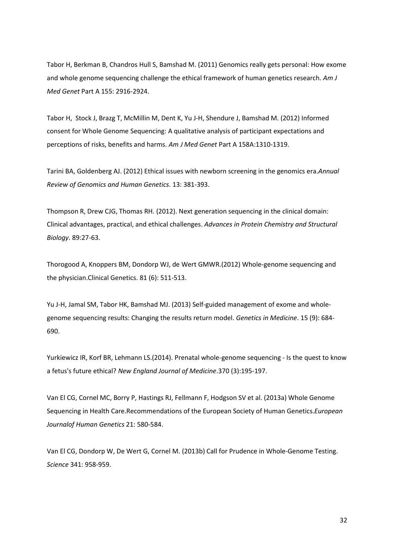Tabor H, Berkman B, Chandros Hull S, Bamshad M. (2011) Genomics really gets personal: How exome and whole genome sequencing challenge the ethical framework of human genetics research. *Am J Med Genet* Part A 155: 2916-2924.

Tabor H, Stock J, Brazg T, McMillin M, Dent K, Yu J-H, Shendure J, Bamshad M. (2012) Informed consent for Whole Genome Sequencing: A qualitative analysis of participant expectations and perceptions of risks, benefits and harms. *Am J Med Genet* Part A 158A:1310-1319.

Tarini BA, Goldenberg AJ. (2012) Ethical issues with newborn screening in the genomics era.*Annual Review of Genomics and Human Genetics*. 13: 381-393.

Thompson R, Drew CJG, Thomas RH. (2012). Next generation sequencing in the clinical domain: Clinical advantages, practical, and ethical challenges. *Advances in Protein Chemistry and Structural Biology*. 89:27-63.

Thorogood A, Knoppers BM, Dondorp WJ, de Wert GMWR.(2012) Whole-genome sequencing and the physician.Clinical Genetics. 81 (6): 511-513.

Yu J-H, Jamal SM, Tabor HK, Bamshad MJ. (2013) Self-guided management of exome and wholegenome sequencing results: Changing the results return model. *Genetics in Medicine*. 15 (9): 684- 690.

Yurkiewicz IR, Korf BR, Lehmann LS.(2014). Prenatal whole-genome sequencing - Is the quest to know a fetus's future ethical? *New England Journal of Medicine*.370 (3):195-197.

Van El CG, Cornel MC, Borry P, Hastings RJ, Fellmann F, Hodgson SV et al. (2013a) Whole Genome Sequencing in Health Care.Recommendations of the European Society of Human Genetics.*European Journalof Human Genetics* 21: 580-584.

Van El CG, Dondorp W, De Wert G, Cornel M. (2013b) Call for Prudence in Whole-Genome Testing. *Science* 341: 958-959.